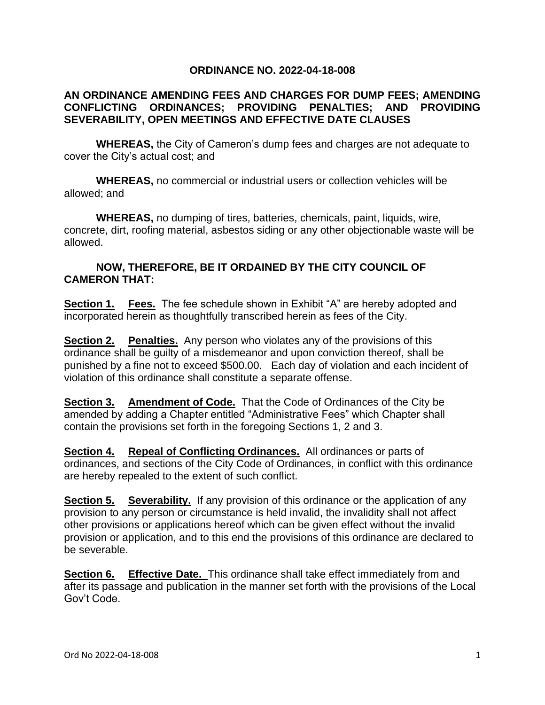#### **ORDINANCE NO. 2022-04-18-008**

### **AN ORDINANCE AMENDING FEES AND CHARGES FOR DUMP FEES; AMENDING CONFLICTING ORDINANCES; PROVIDING PENALTIES; AND PROVIDING SEVERABILITY, OPEN MEETINGS AND EFFECTIVE DATE CLAUSES**

**WHEREAS,** the City of Cameron's dump fees and charges are not adequate to cover the City's actual cost; and

**WHEREAS,** no commercial or industrial users or collection vehicles will be allowed; and

**WHEREAS,** no dumping of tires, batteries, chemicals, paint, liquids, wire, concrete, dirt, roofing material, asbestos siding or any other objectionable waste will be allowed.

#### **NOW, THEREFORE, BE IT ORDAINED BY THE CITY COUNCIL OF CAMERON THAT:**

**Section 1. Fees.** The fee schedule shown in Exhibit "A" are hereby adopted and incorporated herein as thoughtfully transcribed herein as fees of the City.

**Section 2. Penalties.** Any person who violates any of the provisions of this ordinance shall be guilty of a misdemeanor and upon conviction thereof, shall be punished by a fine not to exceed \$500.00. Each day of violation and each incident of violation of this ordinance shall constitute a separate offense.

**Section 3. Amendment of Code.** That the Code of Ordinances of the City be amended by adding a Chapter entitled "Administrative Fees" which Chapter shall contain the provisions set forth in the foregoing Sections 1, 2 and 3.

**Section 4. Repeal of Conflicting Ordinances.** All ordinances or parts of ordinances, and sections of the City Code of Ordinances, in conflict with this ordinance are hereby repealed to the extent of such conflict.

**Section 5.** Severability. If any provision of this ordinance or the application of any provision to any person or circumstance is held invalid, the invalidity shall not affect other provisions or applications hereof which can be given effect without the invalid provision or application, and to this end the provisions of this ordinance are declared to be severable.

**Section 6. Effective Date.** This ordinance shall take effect immediately from and after its passage and publication in the manner set forth with the provisions of the Local Gov't Code.